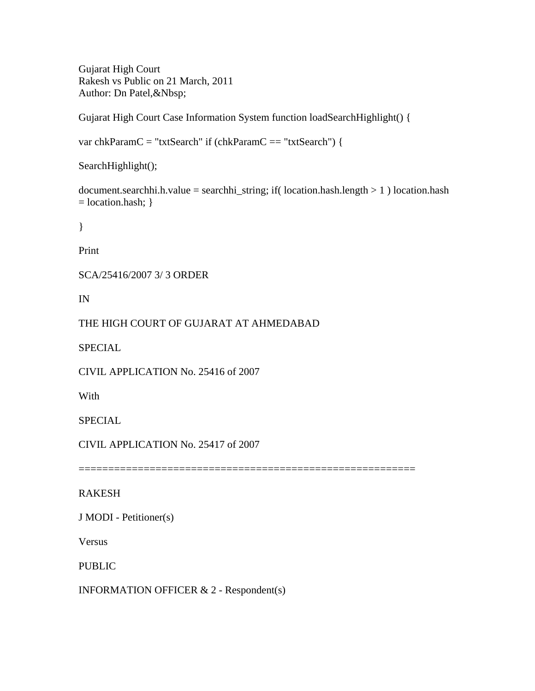Gujarat High Court Rakesh vs Public on 21 March, 2011 Author: Dn Patel,&Nbsp;

Gujarat High Court Case Information System function loadSearchHighlight() {

var chkParamC = "txtSearch" if (chkParamC == "txtSearch") {

SearchHighlight();

document.searchhi.h.value = searchhi\_string; if( location.hash.length  $> 1$  ) location.hash  $=$  location.hash;  $\}$ 

}

Print

SCA/25416/2007 3/ 3 ORDER

IN

THE HIGH COURT OF GUJARAT AT AHMEDABAD

SPECIAL

CIVIL APPLICATION No. 25416 of 2007

With

**SPECIAL** 

CIVIL APPLICATION No. 25417 of 2007

=========================================================

RAKESH

J MODI - Petitioner(s)

Versus

PUBLIC

INFORMATION OFFICER & 2 - Respondent(s)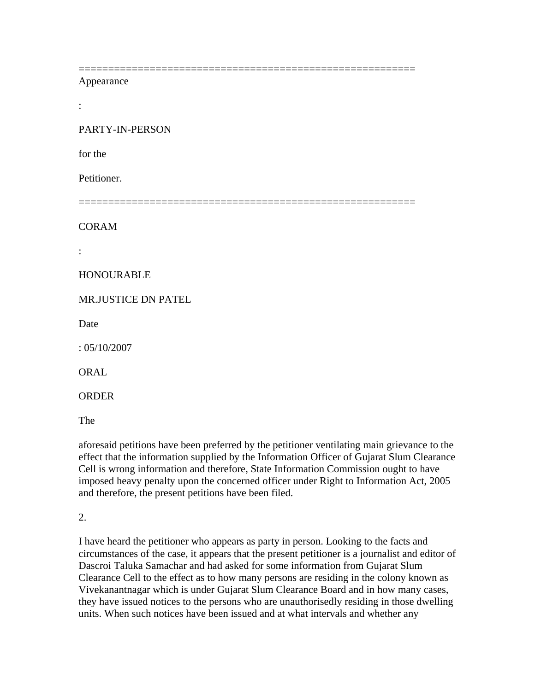## Appearance

:

PARTY-IN-PERSON

for the

Petitioner.

=========================================================

=========================================================

CORAM

:

## HONOURABLE

MR.JUSTICE DN PATEL

Date

: 05/10/2007

ORAL

ORDER

The

aforesaid petitions have been preferred by the petitioner ventilating main grievance to the effect that the information supplied by the Information Officer of Gujarat Slum Clearance Cell is wrong information and therefore, State Information Commission ought to have imposed heavy penalty upon the concerned officer under Right to Information Act, 2005 and therefore, the present petitions have been filed.

2.

I have heard the petitioner who appears as party in person. Looking to the facts and circumstances of the case, it appears that the present petitioner is a journalist and editor of Dascroi Taluka Samachar and had asked for some information from Gujarat Slum Clearance Cell to the effect as to how many persons are residing in the colony known as Vivekanantnagar which is under Gujarat Slum Clearance Board and in how many cases, they have issued notices to the persons who are unauthorisedly residing in those dwelling units. When such notices have been issued and at what intervals and whether any